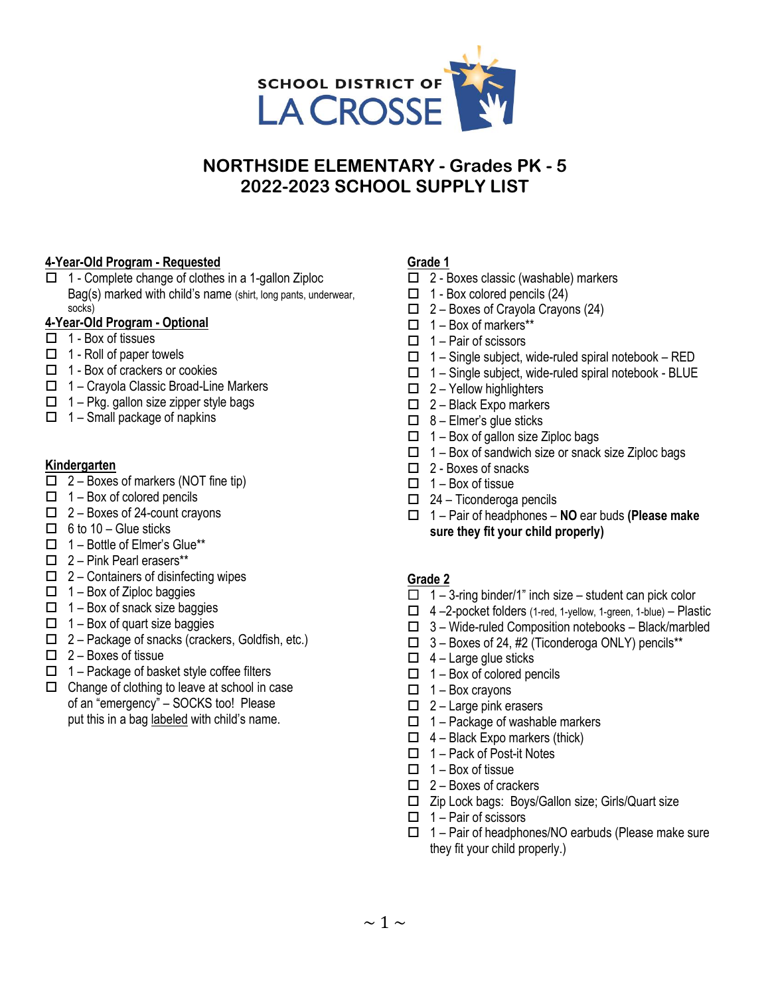

# **NORTHSIDE ELEMENTARY - Grades PK - 5 2022-2023 SCHOOL SUPPLY LIST**

### **4-Year-Old Program - Requested**

 $\Box$  1 - Complete change of clothes in a 1-gallon Ziploc Bag(s) marked with child's name (shirt, long pants, underwear, socks)

#### **4-Year-Old Program - Optional**

- $\overline{\Box}$  1 Box of tissues
- $\Box$  1 Roll of paper towels
- $\Box$  1 Box of crackers or cookies
- $\Box$  1 Crayola Classic Broad-Line Markers
- $\Box$  1 Pkg. gallon size zipper style bags
- $\Box$  1 Small package of napkins

#### **Kindergarten**

- $\Box$  2 Boxes of markers (NOT fine tip)
- $\Box$  1 Box of colored pencils
- $\Box$  2 Boxes of 24-count crayons
- $\Box$  6 to 10 Glue sticks
- $\Box$  1 Bottle of Elmer's Glue\*\*
- $\Box$  2 Pink Pearl erasers\*\*
- $\Box$  2 Containers of disinfecting wipes
- $\Box$  1 Box of Ziploc baggies
- $\Box$  1 Box of snack size baggies
- $\Box$  1 Box of quart size baggies
- $\Box$  2 Package of snacks (crackers, Goldfish, etc.)
- $\Box$  2 Boxes of tissue
- $\Box$  1 Package of basket style coffee filters
- $\Box$  Change of clothing to leave at school in case of an "emergency" – SOCKS too! Please put this in a bag labeled with child's name.

#### **Grade 1**

- □ 2 Boxes classic (washable) markers
- $\Box$  1 Box colored pencils (24)
- $\Box$  2 Boxes of Crayola Crayons (24)
- $\Box$  1 Box of markers\*\*
- $\Box$  1 Pair of scissors
- $\Box$  1 Single subject, wide-ruled spiral notebook RED
- $\Box$  1 Single subject, wide-ruled spiral notebook BLUE
- $\Box$  2 Yellow highlighters
- $\Box$  2 Black Expo markers
- $\Box$  8 Elmer's glue sticks
- $\Box$  1 Box of gallon size Ziploc bags
- $\Box$  1 Box of sandwich size or snack size Ziploc bags
- $\Box$  2 Boxes of snacks
- $\Box$  1 Box of tissue
- $\Box$  24 Ticonderoga pencils
- 1 Pair of headphones **NO** ear buds **(Please make sure they fit your child properly)**

# **Grade 2**

- $\Box$  1 3-ring binder/1" inch size student can pick color
- $\Box$  4 –2-pocket folders (1-red, 1-yellow, 1-green, 1-blue) Plastic
- $\Box$  3 Wide-ruled Composition notebooks Black/marbled
- $\Box$  3 Boxes of 24, #2 (Ticonderoga ONLY) pencils\*\*
- $\Box$  4 Large glue sticks
- $\Box$  1 Box of colored pencils
- $\Box$  1 Box crayons
- $\Box$  2 Large pink erasers
- $\Box$  1 Package of washable markers
- $\Box$  4 Black Expo markers (thick)
- $\Box$  1 Pack of Post-it Notes
- $\Box$  1 Box of tissue
- $\Box$  2 Boxes of crackers
- □ Zip Lock bags: Boys/Gallon size; Girls/Quart size
- $\Box$  1 Pair of scissors
- $\Box$  1 Pair of headphones/NO earbuds (Please make sure they fit your child properly.)